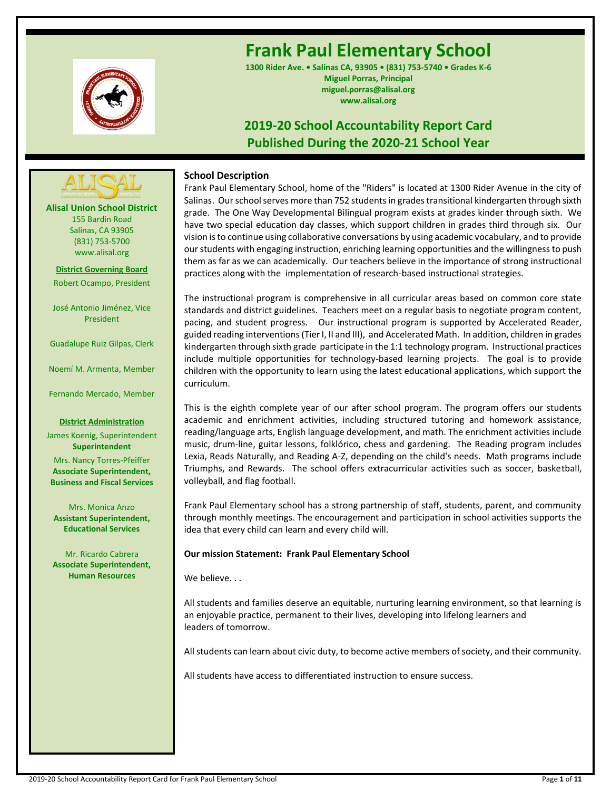

# **Frank Paul Elementary School**

**1300 Rider Ave. • Salinas CA, 93905 • (831) 753-5740 • Grades K-6 Miguel Porras, Principal miguel.porras@alisal.org www.alisal.org**

# **2019-20 School Accountability Report Card Published During the 2020-21 School Year**



**Alisal Union School District** 155 Bardin Road Salinas, CA 93905 (831) 753-5700 www.alisal.org

**District Governing Board** Robert Ocampo, President

José Antonio Jiménez, Vice President

Guadalupe Ruiz Gilpas, Clerk

Noemí M. Armenta, Member

Fernando Mercado, Member

#### **District Administration**

James Koenig, Superintendent **Superintendent** Mrs. Nancy Torres-Pfeiffer **Associate Superintendent, Business and Fiscal Services**

Mrs. Monica Anzo **Assistant Superintendent, Educational Services**

Mr. Ricardo Cabrera **Associate Superintendent, Human Resources**

# **School Description**

Frank Paul Elementary School, home of the "Riders" is located at 1300 Rider Avenue in the city of Salinas. Our school serves more than 752 students in grades transitional kindergarten through sixth grade. The One Way Developmental Bilingual program exists at grades kinder through sixth. We have two special education day classes, which support children in grades third through six. Our vision is to continue using collaborative conversations by using academic vocabulary, and to provide our students with engaging instruction, enriching learning opportunities and the willingness to push them as far as we can academically. Our teachers believe in the importance of strong instructional practices along with the implementation of research-based instructional strategies.

The instructional program is comprehensive in all curricular areas based on common core state standards and district guidelines. Teachers meet on a regular basis to negotiate program content, pacing, and student progress. Our instructional program is supported by Accelerated Reader, guided reading interventions (Tier I, II and III), and Accelerated Math. In addition, children in grades kindergarten through sixth grade participate in the 1:1 technology program. Instructional practices include multiple opportunities for technology-based learning projects. The goal is to provide children with the opportunity to learn using the latest educational applications, which support the curriculum.

This is the eighth complete year of our after school program. The program offers our students academic and enrichment activities, including structured tutoring and homework assistance, reading/language arts, English language development, and math. The enrichment activities include music, drum-line, guitar lessons, folklórico, chess and gardening. The Reading program includes Lexia, Reads Naturally, and Reading A-Z, depending on the child's needs. Math programs include Triumphs, and Rewards. The school offers extracurricular activities such as soccer, basketball, volleyball, and flag football.

Frank Paul Elementary school has a strong partnership of staff, students, parent, and community through monthly meetings. The encouragement and participation in school activities supports the idea that every child can learn and every child will.

# **Our mission Statement: Frank Paul Elementary School**

We believe...

All students and families deserve an equitable, nurturing learning environment, so that learning is an enjoyable practice, permanent to their lives, developing into lifelong learners and leaders of tomorrow.

All students can learn about civic duty, to become active members of society, and their community.

All students have access to differentiated instruction to ensure success.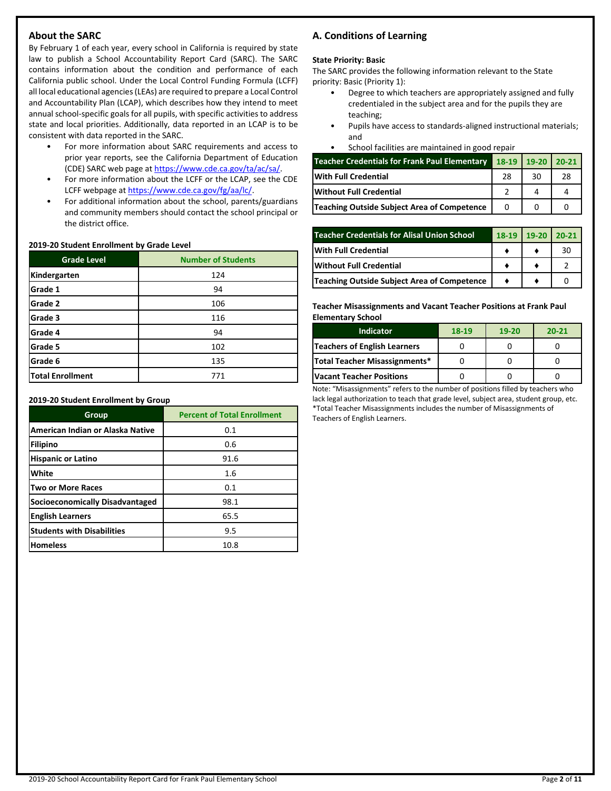# **About the SARC**

By February 1 of each year, every school in California is required by state law to publish a School Accountability Report Card (SARC). The SARC contains information about the condition and performance of each California public school. Under the Local Control Funding Formula (LCFF) all local educational agencies (LEAs) are required to prepare a Local Control and Accountability Plan (LCAP), which describes how they intend to meet annual school-specific goals for all pupils, with specific activities to address state and local priorities. Additionally, data reported in an LCAP is to be consistent with data reported in the SARC.

- For more information about SARC requirements and access to prior year reports, see the California Department of Education (CDE) SARC web page at [https://www.cde.ca.gov/ta/ac/sa/.](https://www.cde.ca.gov/ta/ac/sa/)
- For more information about the LCFF or the LCAP, see the CDE LCFF webpage a[t https://www.cde.ca.gov/fg/aa/lc/.](https://www.cde.ca.gov/fg/aa/lc/)
- For additional information about the school, parents/guardians and community members should contact the school principal or the district office.

#### **2019-20 Student Enrollment by Grade Level**

| <b>Grade Level</b> | <b>Number of Students</b> |  |  |  |
|--------------------|---------------------------|--|--|--|
| Kindergarten       | 124                       |  |  |  |
| Grade 1<br>94      |                           |  |  |  |
| Grade 2            | 106                       |  |  |  |
| Grade 3            | 116                       |  |  |  |
| Grade 4            | 94                        |  |  |  |
| Grade 5            | 102                       |  |  |  |
| Grade 6            | 135                       |  |  |  |
| Total Enrollment   | 771                       |  |  |  |

#### **2019-20 Student Enrollment by Group**

| Group                                  | <b>Percent of Total Enrollment</b> |
|----------------------------------------|------------------------------------|
| American Indian or Alaska Native       | 0.1                                |
| Filipino                               | 0.6                                |
| <b>Hispanic or Latino</b>              | 91.6                               |
| White                                  | 1.6                                |
| <b>Two or More Races</b>               | 0.1                                |
| <b>Socioeconomically Disadvantaged</b> | 98.1                               |
| <b>English Learners</b>                | 65.5                               |
| <b>Students with Disabilities</b>      | 9.5                                |
| <b>Homeless</b>                        | 10.8                               |

# **A. Conditions of Learning**

#### **State Priority: Basic**

The SARC provides the following information relevant to the State priority: Basic (Priority 1):

- Degree to which teachers are appropriately assigned and fully credentialed in the subject area and for the pupils they are teaching;
- Pupils have access to standards-aligned instructional materials; and
- School facilities are maintained in good repair

| <b>Teacher Credentials for Frank Paul Elementary</b> | 18-19 19-20 20-21 |    |    |
|------------------------------------------------------|-------------------|----|----|
| <b>IWith Full Credential</b>                         | 28                | 30 | 28 |
| <b>Without Full Credential</b>                       |                   |    |    |
| Teaching Outside Subject Area of Competence          |                   |    |    |

| <b>Teacher Credentials for Alisal Union School</b> |  | $19-20$ | $120-21$ |
|----------------------------------------------------|--|---------|----------|
| <b>With Full Credential</b>                        |  |         | 30       |
| <b>Without Full Credential</b>                     |  |         |          |
| Teaching Outside Subject Area of Competence        |  |         |          |

**Teacher Misassignments and Vacant Teacher Positions at Frank Paul Elementary School**

| <b>Indicator</b>              | 18-19 | $19-20$ | $20 - 21$ |
|-------------------------------|-------|---------|-----------|
| Teachers of English Learners  |       |         |           |
| Total Teacher Misassignments* |       |         |           |
| Vacant Teacher Positions      |       |         |           |

Note: "Misassignments" refers to the number of positions filled by teachers who lack legal authorization to teach that grade level, subject area, student group, etc. \*Total Teacher Misassignments includes the number of Misassignments of Teachers of English Learners.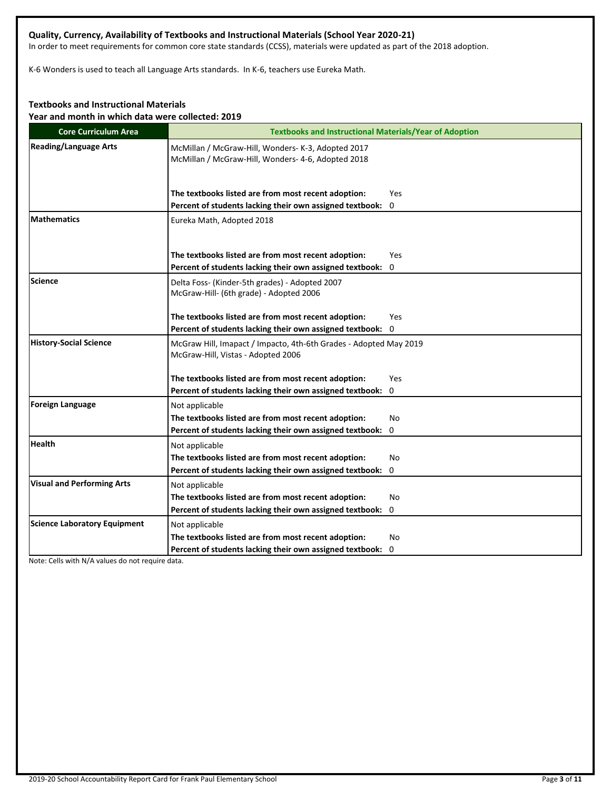# **Quality, Currency, Availability of Textbooks and Instructional Materials (School Year 2020-21)**

In order to meet requirements for common core state standards (CCSS), materials were updated as part of the 2018 adoption.

K-6 Wonders is used to teach all Language Arts standards. In K-6, teachers use Eureka Math.

# **Textbooks and Instructional Materials**

**Year and month in which data were collected: 2019**

| <b>Core Curriculum Area</b>         | <b>Textbooks and Instructional Materials/Year of Adoption</b>                                            |            |  |  |  |
|-------------------------------------|----------------------------------------------------------------------------------------------------------|------------|--|--|--|
| <b>Reading/Language Arts</b>        | McMillan / McGraw-Hill, Wonders- K-3, Adopted 2017<br>McMillan / McGraw-Hill, Wonders- 4-6, Adopted 2018 |            |  |  |  |
|                                     | The textbooks listed are from most recent adoption:                                                      | Yes        |  |  |  |
|                                     | Percent of students lacking their own assigned textbook:                                                 | 0          |  |  |  |
| <b>Mathematics</b>                  | Eureka Math, Adopted 2018                                                                                |            |  |  |  |
|                                     | The textbooks listed are from most recent adoption:                                                      | <b>Yes</b> |  |  |  |
|                                     | Percent of students lacking their own assigned textbook: 0                                               |            |  |  |  |
| Science                             | Delta Foss- (Kinder-5th grades) - Adopted 2007<br>McGraw-Hill- (6th grade) - Adopted 2006                |            |  |  |  |
|                                     | The textbooks listed are from most recent adoption:                                                      | <b>Yes</b> |  |  |  |
|                                     | Percent of students lacking their own assigned textbook: 0                                               |            |  |  |  |
| <b>History-Social Science</b>       | McGraw Hill, Imapact / Impacto, 4th-6th Grades - Adopted May 2019<br>McGraw-Hill, Vistas - Adopted 2006  |            |  |  |  |
|                                     | The textbooks listed are from most recent adoption:                                                      | Yes        |  |  |  |
|                                     | Percent of students lacking their own assigned textbook: 0                                               |            |  |  |  |
| Foreign Language                    | Not applicable                                                                                           |            |  |  |  |
|                                     | The textbooks listed are from most recent adoption:                                                      | No         |  |  |  |
|                                     | Percent of students lacking their own assigned textbook:                                                 | 0          |  |  |  |
| <b>Health</b>                       | Not applicable                                                                                           |            |  |  |  |
|                                     | The textbooks listed are from most recent adoption:                                                      | No         |  |  |  |
|                                     | Percent of students lacking their own assigned textbook:                                                 | 0          |  |  |  |
| <b>Visual and Performing Arts</b>   | Not applicable                                                                                           |            |  |  |  |
|                                     | The textbooks listed are from most recent adoption:                                                      | No         |  |  |  |
|                                     | Percent of students lacking their own assigned textbook:                                                 | 0          |  |  |  |
| <b>Science Laboratory Equipment</b> | Not applicable                                                                                           |            |  |  |  |
|                                     | The textbooks listed are from most recent adoption:                                                      | No         |  |  |  |
|                                     | Percent of students lacking their own assigned textbook: 0                                               |            |  |  |  |

Note: Cells with N/A values do not require data.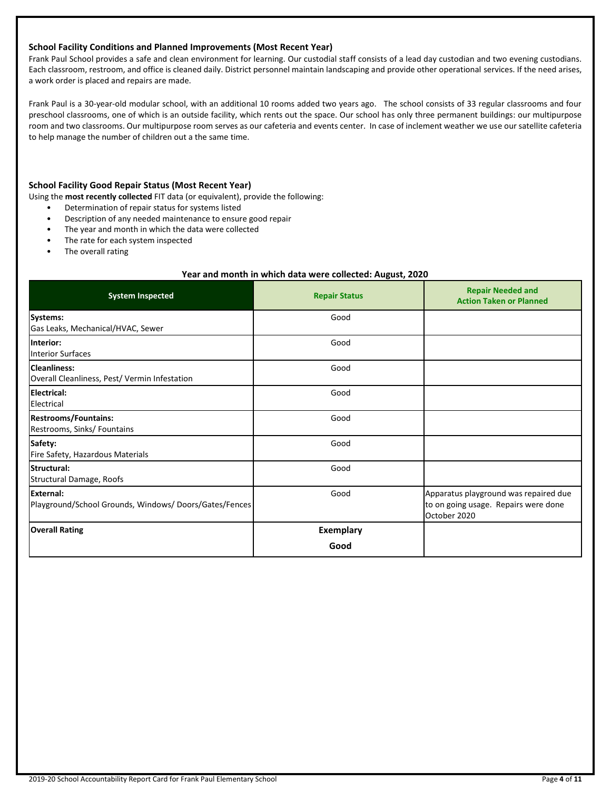#### **School Facility Conditions and Planned Improvements (Most Recent Year)**

Frank Paul School provides a safe and clean environment for learning. Our custodial staff consists of a lead day custodian and two evening custodians. Each classroom, restroom, and office is cleaned daily. District personnel maintain landscaping and provide other operational services. If the need arises, a work order is placed and repairs are made.

Frank Paul is a 30-year-old modular school, with an additional 10 rooms added two years ago. The school consists of 33 regular classrooms and four preschool classrooms, one of which is an outside facility, which rents out the space. Our school has only three permanent buildings: our multipurpose room and two classrooms. Our multipurpose room serves as our cafeteria and events center. In case of inclement weather we use our satellite cafeteria to help manage the number of children out a the same time.

## **School Facility Good Repair Status (Most Recent Year)**

- Using the **most recently collected** FIT data (or equivalent), provide the following:
	- Determination of repair status for systems listed
	- Description of any needed maintenance to ensure good repair
	- The year and month in which the data were collected
	- The rate for each system inspected
	- The overall rating

#### **Year and month in which data were collected: August, 2020**

| <b>System Inspected</b>                                              | <b>Repair Status</b> | <b>Repair Needed and</b><br><b>Action Taken or Planned</b>                                    |
|----------------------------------------------------------------------|----------------------|-----------------------------------------------------------------------------------------------|
| Systems:<br>Gas Leaks, Mechanical/HVAC, Sewer                        | Good                 |                                                                                               |
| Interior:<br><b>Interior Surfaces</b>                                | Good                 |                                                                                               |
| <b>Cleanliness:</b><br>Overall Cleanliness, Pest/ Vermin Infestation | Good                 |                                                                                               |
| Electrical:<br>Electrical                                            | Good                 |                                                                                               |
| <b>Restrooms/Fountains:</b><br>Restrooms, Sinks/ Fountains           | Good                 |                                                                                               |
| Safety:<br>Fire Safety, Hazardous Materials                          | Good                 |                                                                                               |
| Structural:<br>Structural Damage, Roofs                              | Good                 |                                                                                               |
| External:<br>Playground/School Grounds, Windows/Doors/Gates/Fences   | Good                 | Apparatus playground was repaired due<br>to on going usage. Repairs were done<br>October 2020 |
| <b>Overall Rating</b>                                                | <b>Exemplary</b>     |                                                                                               |
|                                                                      | Good                 |                                                                                               |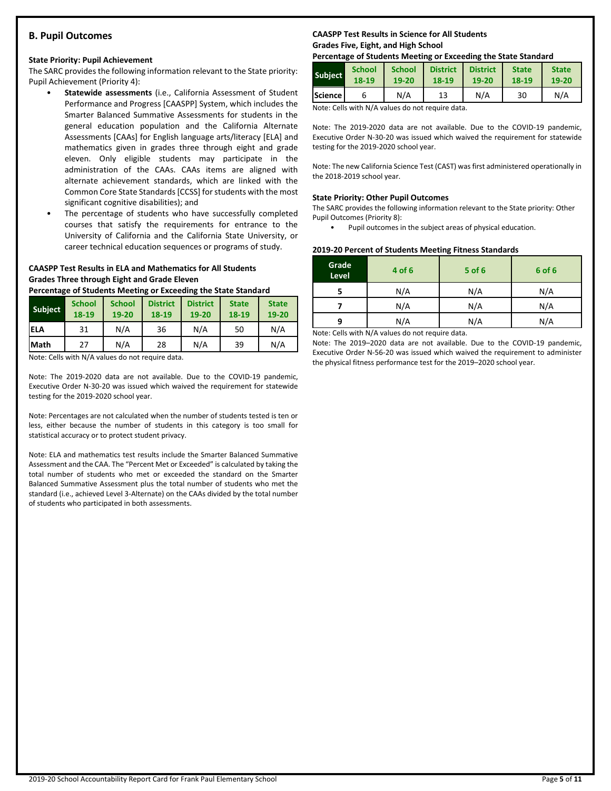# **B. Pupil Outcomes**

# **State Priority: Pupil Achievement**

The SARC provides the following information relevant to the State priority: Pupil Achievement (Priority 4):

- **Statewide assessments** (i.e., California Assessment of Student Performance and Progress [CAASPP] System, which includes the Smarter Balanced Summative Assessments for students in the general education population and the California Alternate Assessments [CAAs] for English language arts/literacy [ELA] and mathematics given in grades three through eight and grade eleven. Only eligible students may participate in the administration of the CAAs. CAAs items are aligned with alternate achievement standards, which are linked with the Common Core State Standards [CCSS] for students with the most significant cognitive disabilities); and
- The percentage of students who have successfully completed courses that satisfy the requirements for entrance to the University of California and the California State University, or career technical education sequences or programs of study.

# **CAASPP Test Results in ELA and Mathematics for All Students Grades Three through Eight and Grade Eleven**

**Percentage of Students Meeting or Exceeding the State Standard**

| <b>Subject</b> | <b>School</b><br>18-19 | <b>School</b><br>19-20 | <b>District</b><br>18-19 | <b>District</b><br>19-20 | <b>State</b><br>18-19 | <b>State</b><br>19-20 |
|----------------|------------------------|------------------------|--------------------------|--------------------------|-----------------------|-----------------------|
| <b>IELA</b>    | 31                     | N/A                    | 36                       | N/A                      | 50                    | N/A                   |
| <b>Math</b>    | 27                     | N/A                    | 28                       | N/A                      | 39                    | N/A                   |

Note: Cells with N/A values do not require data.

Note: The 2019-2020 data are not available. Due to the COVID-19 pandemic, Executive Order N-30-20 was issued which waived the requirement for statewide testing for the 2019-2020 school year.

Note: Percentages are not calculated when the number of students tested is ten or less, either because the number of students in this category is too small for statistical accuracy or to protect student privacy.

Note: ELA and mathematics test results include the Smarter Balanced Summative Assessment and the CAA. The "Percent Met or Exceeded" is calculated by taking the total number of students who met or exceeded the standard on the Smarter Balanced Summative Assessment plus the total number of students who met the standard (i.e., achieved Level 3-Alternate) on the CAAs divided by the total number of students who participated in both assessments.

# **CAASPP Test Results in Science for All Students Grades Five, Eight, and High School**

# **Percentage of Students Meeting or Exceeding the State Standard**

| <b>Subject</b> | <b>School</b> | <b>School</b> | <b>District</b> | <b>District</b> | <b>State</b> | <b>State</b> |
|----------------|---------------|---------------|-----------------|-----------------|--------------|--------------|
|                | 18-19         | 19-20         | 18-19           | 19-20           | 18-19        | 19-20        |
| Science l      |               | N/A           | 13              | N/A             | 30           | N/A          |

Note: Cells with N/A values do not require data.

Note: The 2019-2020 data are not available. Due to the COVID-19 pandemic, Executive Order N-30-20 was issued which waived the requirement for statewide testing for the 2019-2020 school year.

Note: The new California Science Test (CAST) was first administered operationally in the 2018-2019 school year.

# **State Priority: Other Pupil Outcomes**

The SARC provides the following information relevant to the State priority: Other Pupil Outcomes (Priority 8):

Pupil outcomes in the subject areas of physical education.

# **2019-20 Percent of Students Meeting Fitness Standards**

| Grade<br>Level | 4 of 6                                          | $5$ of $6$ | 6 of 6 |
|----------------|-------------------------------------------------|------------|--------|
|                | N/A                                             | N/A        | N/A    |
|                | N/A                                             | N/A        | N/A    |
| q              | N/A                                             | N/A        |        |
|                | Nota: Colle with N/A volves do not require data |            |        |

Note: Cells with N/A values do not require data.

Note: The 2019–2020 data are not available. Due to the COVID-19 pandemic, Executive Order N-56-20 was issued which waived the requirement to administer the physical fitness performance test for the 2019–2020 school year.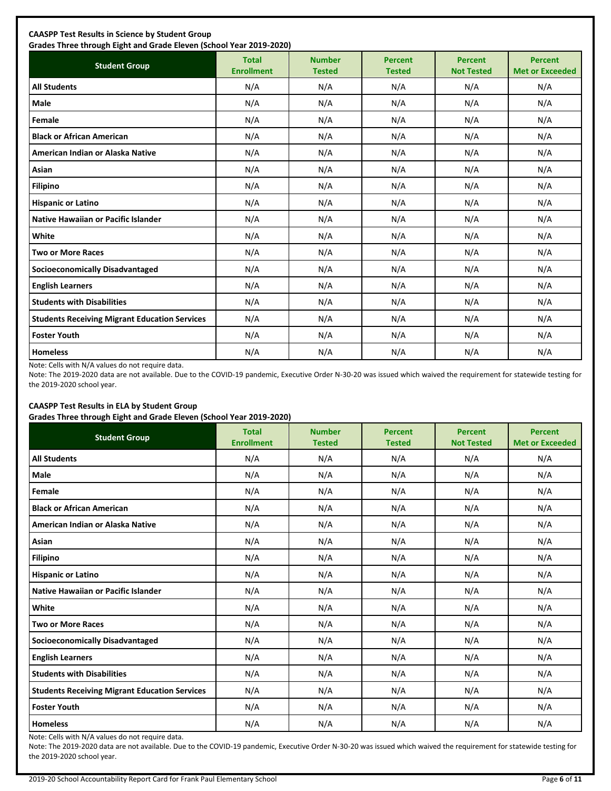| <b>Student Group</b>                                 | <b>Total</b><br><b>Enrollment</b> | <b>Number</b><br><b>Tested</b> | <b>Percent</b><br><b>Tested</b> | <b>Percent</b><br><b>Not Tested</b> | <b>Percent</b><br><b>Met or Exceeded</b> |
|------------------------------------------------------|-----------------------------------|--------------------------------|---------------------------------|-------------------------------------|------------------------------------------|
| <b>All Students</b>                                  | N/A                               | N/A                            | N/A                             | N/A                                 | N/A                                      |
| Male                                                 | N/A                               | N/A                            | N/A                             | N/A                                 | N/A                                      |
| Female                                               | N/A                               | N/A                            | N/A                             | N/A                                 | N/A                                      |
| <b>Black or African American</b>                     | N/A                               | N/A                            | N/A                             | N/A                                 | N/A                                      |
| American Indian or Alaska Native                     | N/A                               | N/A                            | N/A                             | N/A                                 | N/A                                      |
| Asian                                                | N/A                               | N/A                            | N/A                             | N/A                                 | N/A                                      |
| <b>Filipino</b>                                      | N/A                               | N/A                            | N/A                             | N/A                                 | N/A                                      |
| <b>Hispanic or Latino</b>                            | N/A                               | N/A                            | N/A                             | N/A                                 | N/A                                      |
| Native Hawaiian or Pacific Islander                  | N/A                               | N/A                            | N/A                             | N/A                                 | N/A                                      |
| White                                                | N/A                               | N/A                            | N/A                             | N/A                                 | N/A                                      |
| <b>Two or More Races</b>                             | N/A                               | N/A                            | N/A                             | N/A                                 | N/A                                      |
| <b>Socioeconomically Disadvantaged</b>               | N/A                               | N/A                            | N/A                             | N/A                                 | N/A                                      |
| <b>English Learners</b>                              | N/A                               | N/A                            | N/A                             | N/A                                 | N/A                                      |
| <b>Students with Disabilities</b>                    | N/A                               | N/A                            | N/A                             | N/A                                 | N/A                                      |
| <b>Students Receiving Migrant Education Services</b> | N/A                               | N/A                            | N/A                             | N/A                                 | N/A                                      |
| <b>Foster Youth</b>                                  | N/A                               | N/A                            | N/A                             | N/A                                 | N/A                                      |
| <b>Homeless</b>                                      | N/A                               | N/A                            | N/A                             | N/A                                 | N/A                                      |

Note: Cells with N/A values do not require data.

Note: The 2019-2020 data are not available. Due to the COVID-19 pandemic, Executive Order N-30-20 was issued which waived the requirement for statewide testing for the 2019-2020 school year.

# **CAASPP Test Results in ELA by Student Group**

**Grades Three through Eight and Grade Eleven (School Year 2019-2020)**

| <b>Student Group</b>                                 | <b>Total</b><br><b>Enrollment</b> | <b>Number</b><br><b>Tested</b> | <b>Percent</b><br><b>Tested</b> | <b>Percent</b><br><b>Not Tested</b> | <b>Percent</b><br><b>Met or Exceeded</b> |
|------------------------------------------------------|-----------------------------------|--------------------------------|---------------------------------|-------------------------------------|------------------------------------------|
| <b>All Students</b>                                  | N/A                               | N/A                            | N/A                             | N/A                                 | N/A                                      |
| Male                                                 | N/A                               | N/A                            | N/A                             | N/A                                 | N/A                                      |
| Female                                               | N/A                               | N/A                            | N/A                             | N/A                                 | N/A                                      |
| <b>Black or African American</b>                     | N/A                               | N/A                            | N/A                             | N/A                                 | N/A                                      |
| American Indian or Alaska Native                     | N/A                               | N/A                            | N/A                             | N/A                                 | N/A                                      |
| Asian                                                | N/A                               | N/A                            | N/A                             | N/A                                 | N/A                                      |
| <b>Filipino</b>                                      | N/A                               | N/A                            | N/A                             | N/A                                 | N/A                                      |
| <b>Hispanic or Latino</b>                            | N/A                               | N/A                            | N/A                             | N/A                                 | N/A                                      |
| Native Hawaiian or Pacific Islander                  | N/A                               | N/A                            | N/A                             | N/A                                 | N/A                                      |
| White                                                | N/A                               | N/A                            | N/A                             | N/A                                 | N/A                                      |
| <b>Two or More Races</b>                             | N/A                               | N/A                            | N/A                             | N/A                                 | N/A                                      |
| <b>Socioeconomically Disadvantaged</b>               | N/A                               | N/A                            | N/A                             | N/A                                 | N/A                                      |
| <b>English Learners</b>                              | N/A                               | N/A                            | N/A                             | N/A                                 | N/A                                      |
| <b>Students with Disabilities</b>                    | N/A                               | N/A                            | N/A                             | N/A                                 | N/A                                      |
| <b>Students Receiving Migrant Education Services</b> | N/A                               | N/A                            | N/A                             | N/A                                 | N/A                                      |
| <b>Foster Youth</b>                                  | N/A                               | N/A                            | N/A                             | N/A                                 | N/A                                      |
| <b>Homeless</b>                                      | N/A                               | N/A                            | N/A                             | N/A                                 | N/A                                      |

Note: Cells with N/A values do not require data.

Note: The 2019-2020 data are not available. Due to the COVID-19 pandemic, Executive Order N-30-20 was issued which waived the requirement for statewide testing for the 2019-2020 school year.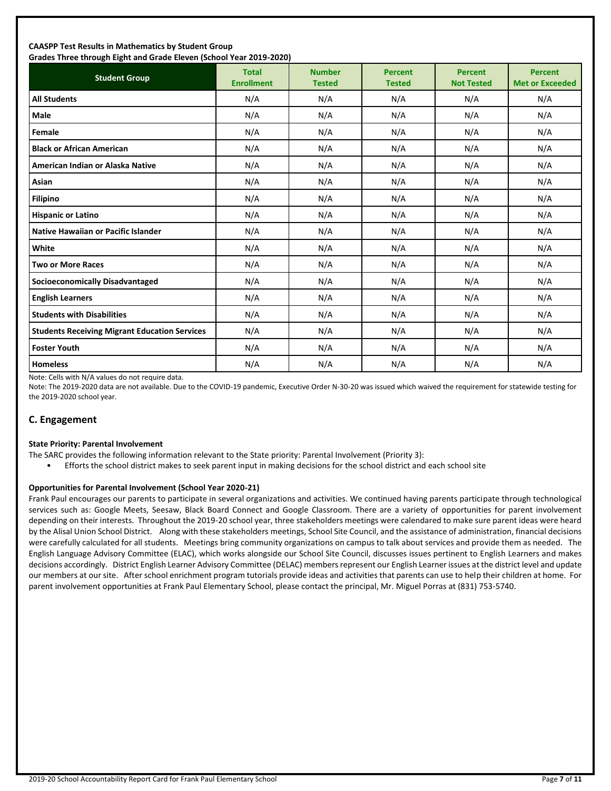#### **CAASPP Test Results in Mathematics by Student Group Grades Three through Eight and Grade Eleven (School Year 2019-2020)**

| andes mice anoggii agna and ardue actem penoor redi 2015 2020;<br><b>Student Group</b> | <b>Total</b><br><b>Enrollment</b> | <b>Number</b><br><b>Tested</b> | <b>Percent</b><br><b>Tested</b> | <b>Percent</b><br><b>Not Tested</b> | <b>Percent</b><br><b>Met or Exceeded</b> |
|----------------------------------------------------------------------------------------|-----------------------------------|--------------------------------|---------------------------------|-------------------------------------|------------------------------------------|
| <b>All Students</b>                                                                    | N/A                               | N/A                            | N/A                             | N/A                                 | N/A                                      |
| Male                                                                                   | N/A                               | N/A                            | N/A                             | N/A                                 | N/A                                      |
| Female                                                                                 | N/A                               | N/A                            | N/A                             | N/A                                 | N/A                                      |
| <b>Black or African American</b>                                                       | N/A                               | N/A                            | N/A                             | N/A                                 | N/A                                      |
| American Indian or Alaska Native                                                       | N/A                               | N/A                            | N/A                             | N/A                                 | N/A                                      |
| Asian                                                                                  | N/A                               | N/A                            | N/A                             | N/A                                 | N/A                                      |
| <b>Filipino</b>                                                                        | N/A                               | N/A                            | N/A                             | N/A                                 | N/A                                      |
| <b>Hispanic or Latino</b>                                                              | N/A                               | N/A                            | N/A                             | N/A                                 | N/A                                      |
| <b>Native Hawaiian or Pacific Islander</b>                                             | N/A                               | N/A                            | N/A                             | N/A                                 | N/A                                      |
| White                                                                                  | N/A                               | N/A                            | N/A                             | N/A                                 | N/A                                      |
| <b>Two or More Races</b>                                                               | N/A                               | N/A                            | N/A                             | N/A                                 | N/A                                      |
| <b>Socioeconomically Disadvantaged</b>                                                 | N/A                               | N/A                            | N/A                             | N/A                                 | N/A                                      |
| <b>English Learners</b>                                                                | N/A                               | N/A                            | N/A                             | N/A                                 | N/A                                      |
| <b>Students with Disabilities</b>                                                      | N/A                               | N/A                            | N/A                             | N/A                                 | N/A                                      |
| <b>Students Receiving Migrant Education Services</b>                                   | N/A                               | N/A                            | N/A                             | N/A                                 | N/A                                      |
| <b>Foster Youth</b>                                                                    | N/A                               | N/A                            | N/A                             | N/A                                 | N/A                                      |
| <b>Homeless</b>                                                                        | N/A                               | N/A                            | N/A                             | N/A                                 | N/A                                      |

Note: Cells with N/A values do not require data.

Note: The 2019-2020 data are not available. Due to the COVID-19 pandemic, Executive Order N-30-20 was issued which waived the requirement for statewide testing for the 2019-2020 school year.

# **C. Engagement**

#### **State Priority: Parental Involvement**

- The SARC provides the following information relevant to the State priority: Parental Involvement (Priority 3):
	- Efforts the school district makes to seek parent input in making decisions for the school district and each school site

#### **Opportunities for Parental Involvement (School Year 2020-21)**

Frank Paul encourages our parents to participate in several organizations and activities. We continued having parents participate through technological services such as: Google Meets, Seesaw, Black Board Connect and Google Classroom. There are a variety of opportunities for parent involvement depending on their interests. Throughout the 2019-20 school year, three stakeholders meetings were calendared to make sure parent ideas were heard by the Alisal Union School District. Along with these stakeholders meetings, School Site Council, and the assistance of administration, financial decisions were carefully calculated for all students. Meetings bring community organizations on campus to talk about services and provide them as needed. The English Language Advisory Committee (ELAC), which works alongside our School Site Council, discusses issues pertinent to English Learners and makes decisions accordingly. District English Learner Advisory Committee (DELAC) members represent our English Learner issues at the district level and update our members at our site. After school enrichment program tutorials provide ideas and activities that parents can use to help their children at home. For parent involvement opportunities at Frank Paul Elementary School, please contact the principal, Mr. Miguel Porras at (831) 753-5740.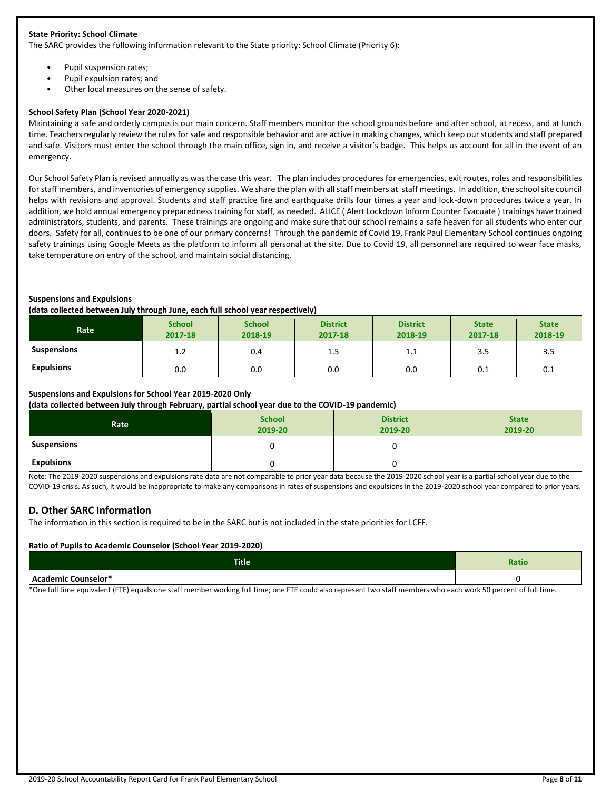#### **State Priority: School Climate**

The SARC provides the following information relevant to the State priority: School Climate (Priority 6):

- Pupil suspension rates;
- Pupil expulsion rates; and
- Other local measures on the sense of safety.

#### **School Safety Plan (School Year 2020-2021)**

Maintaining a safe and orderly campus is our main concern. Staff members monitor the school grounds before and after school, at recess, and at lunch time. Teachers regularly review the rules for safe and responsible behavior and are active in making changes, which keep our students and staff prepared and safe. Visitors must enter the school through the main office, sign in, and receive a visitor's badge. This helps us account for all in the event of an emergency.

Our School Safety Plan is revised annually as was the case this year. The plan includes procedures for emergencies, exit routes, roles and responsibilities for staff members, and inventories of emergency supplies. We share the plan with all staff members at staff meetings. In addition, the school site council helps with revisions and approval. Students and staff practice fire and earthquake drills four times a year and lock-down procedures twice a year. In addition, we hold annual emergency preparedness training for staff, as needed. ALICE ( Alert Lockdown Inform Counter Evacuate ) trainings have trained administrators, students, and parents. These trainings are ongoing and make sure that our school remains a safe heaven for all students who enter our doors. Safety for all, continues to be one of our primary concerns! Through the pandemic of Covid 19, Frank Paul Elementary School continues ongoing safety trainings using Google Meets as the platform to inform all personal at the site. Due to Covid 19, all personnel are required to wear face masks, take temperature on entry of the school, and maintain social distancing.

#### **Suspensions and Expulsions**

#### **(data collected between July through June, each full school year respectively)**

| Rate               | <b>School</b><br>2017-18 | <b>School</b><br>2018-19 | <b>District</b><br>2017-18 | <b>District</b><br>2018-19 | <b>State</b><br>2017-18 | <b>State</b><br>2018-19 |
|--------------------|--------------------------|--------------------------|----------------------------|----------------------------|-------------------------|-------------------------|
| <b>Suspensions</b> | 1.2                      | 0.4                      | 1.5                        | ᆠᆞᆂ                        | 3.5                     | 3.5                     |
| <b>Expulsions</b>  | 0.0                      | 0.0                      | 0.0                        | 0.0                        | 0.1                     | 0.1                     |

#### **Suspensions and Expulsions for School Year 2019-2020 Only**

**(data collected between July through February, partial school year due to the COVID-19 pandemic)**

| Rate               | <b>School</b><br>2019-20 | <b>District</b><br>2019-20 | <b>State</b><br>2019-20 |
|--------------------|--------------------------|----------------------------|-------------------------|
| <b>Suspensions</b> |                          |                            |                         |
| <b>Expulsions</b>  |                          |                            |                         |

Note: The 2019-2020 suspensions and expulsions rate data are not comparable to prior year data because the 2019-2020 school year is a partial school year due to the COVID-19 crisis. As such, it would be inappropriate to make any comparisons in rates of suspensions and expulsions in the 2019-2020 school year compared to prior years.

#### **D. Other SARC Information**

The information in this section is required to be in the SARC but is not included in the state priorities for LCFF.

#### **Ratio of Pupils to Academic Counselor (School Year 2019-2020)**

| <b>Title</b>        | <b>Ratio</b> |
|---------------------|--------------|
| Academic Counselor* |              |

\*One full time equivalent (FTE) equals one staff member working full time; one FTE could also represent two staff members who each work 50 percent of full time.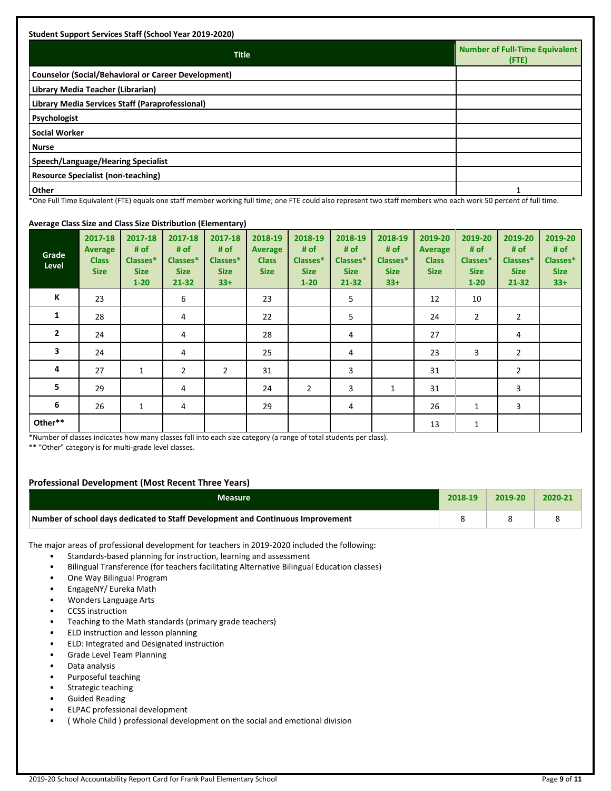| <b>Title</b>                                               | <b>Number of Full-Time Equivalent</b><br>$($ FTE $)$ |
|------------------------------------------------------------|------------------------------------------------------|
| <b>Counselor (Social/Behavioral or Career Development)</b> |                                                      |
| Library Media Teacher (Librarian)                          |                                                      |
| Library Media Services Staff (Paraprofessional)            |                                                      |
| Psychologist                                               |                                                      |
| <b>Social Worker</b>                                       |                                                      |
| <b>Nurse</b>                                               |                                                      |
| Speech/Language/Hearing Specialist                         |                                                      |
| <b>Resource Specialist (non-teaching)</b>                  |                                                      |
| <b>Other</b>                                               |                                                      |

\*One Full Time Equivalent (FTE) equals one staff member working full time; one FTE could also represent two staff members who each work 50 percent of full time.

#### **Average Class Size and Class Size Distribution (Elementary)**

| Grade<br>Level | 2017-18<br><b>Average</b><br><b>Class</b><br><b>Size</b> | 2017-18<br># of<br>Classes*<br><b>Size</b><br>$1 - 20$ | 2017-18<br># of<br>Classes*<br><b>Size</b><br>21-32 | 2017-18<br># of<br>Classes*<br><b>Size</b><br>$33+$ | 2018-19<br><b>Average</b><br><b>Class</b><br><b>Size</b> | 2018-19<br># of<br>Classes*<br><b>Size</b><br>$1 - 20$ | 2018-19<br># of<br>Classes*<br><b>Size</b><br>$21 - 32$ | 2018-19<br># of<br>Classes*<br><b>Size</b><br>$33+$ | 2019-20<br><b>Average</b><br><b>Class</b><br><b>Size</b> | 2019-20<br># of<br>Classes*<br><b>Size</b><br>$1 - 20$ | 2019-20<br># of<br>Classes*<br><b>Size</b><br>$21 - 32$ | 2019-20<br># $of$<br>Classes*<br><b>Size</b><br>$33+$ |
|----------------|----------------------------------------------------------|--------------------------------------------------------|-----------------------------------------------------|-----------------------------------------------------|----------------------------------------------------------|--------------------------------------------------------|---------------------------------------------------------|-----------------------------------------------------|----------------------------------------------------------|--------------------------------------------------------|---------------------------------------------------------|-------------------------------------------------------|
| К              | 23                                                       |                                                        | 6                                                   |                                                     | 23                                                       |                                                        | 5                                                       |                                                     | 12                                                       | 10                                                     |                                                         |                                                       |
| 1              | 28                                                       |                                                        | 4                                                   |                                                     | 22                                                       |                                                        | 5                                                       |                                                     | 24                                                       | $\overline{2}$                                         | $\overline{2}$                                          |                                                       |
| $\overline{2}$ | 24                                                       |                                                        | 4                                                   |                                                     | 28                                                       |                                                        | 4                                                       |                                                     | 27                                                       |                                                        | 4                                                       |                                                       |
| 3              | 24                                                       |                                                        | 4                                                   |                                                     | 25                                                       |                                                        | 4                                                       |                                                     | 23                                                       | 3                                                      | $\overline{2}$                                          |                                                       |
| 4              | 27                                                       | $\mathbf{1}$                                           | $\overline{2}$                                      | $\overline{2}$                                      | 31                                                       |                                                        | 3                                                       |                                                     | 31                                                       |                                                        | $\overline{2}$                                          |                                                       |
| 5              | 29                                                       |                                                        | 4                                                   |                                                     | 24                                                       | $\overline{2}$                                         | 3                                                       | $\mathbf{1}$                                        | 31                                                       |                                                        | 3                                                       |                                                       |
| 6              | 26                                                       | $\mathbf{1}$                                           | 4                                                   |                                                     | 29                                                       |                                                        | 4                                                       |                                                     | 26                                                       | 1                                                      | 3                                                       |                                                       |
| Other**        |                                                          |                                                        |                                                     |                                                     |                                                          |                                                        |                                                         |                                                     | 13                                                       | $\mathbf{1}$                                           |                                                         |                                                       |

\*Number of classes indicates how many classes fall into each size category (a range of total students per class).

\*\* "Other" category is for multi-grade level classes.

# **Professional Development (Most Recent Three Years)**

| <b>Measure</b>                                                                  | 2018-19 | $7019 - 20$ | 2020-21 |
|---------------------------------------------------------------------------------|---------|-------------|---------|
| Number of school days dedicated to Staff Development and Continuous Improvement |         |             |         |

The major areas of professional development for teachers in 2019-2020 included the following:

- Standards-based planning for instruction, learning and assessment
- Bilingual Transference (for teachers facilitating Alternative Bilingual Education classes)
- One Way Bilingual Program
- EngageNY/ Eureka Math
- Wonders Language Arts
- CCSS instruction
- Teaching to the Math standards (primary grade teachers)
- ELD instruction and lesson planning
- ELD: Integrated and Designated instruction
- Grade Level Team Planning
- Data analysis
- Purposeful teaching
- Strategic teaching
- Guided Reading
- ELPAC professional development
- ( Whole Child ) professional development on the social and emotional division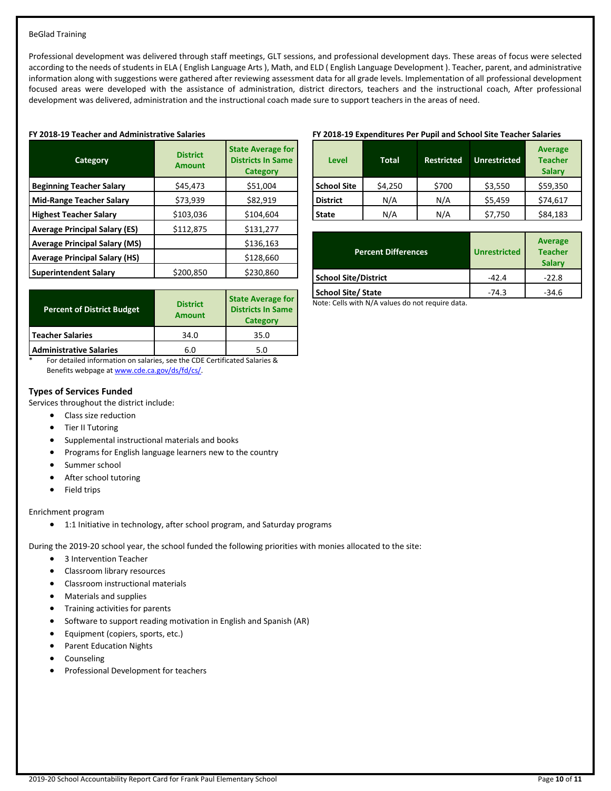#### BeGlad Training

Professional development was delivered through staff meetings, GLT sessions, and professional development days. These areas of focus were selected according to the needs of students in ELA ( English Language Arts ), Math, and ELD ( English Language Development ). Teacher, parent, and administrative information along with suggestions were gathered after reviewing assessment data for all grade levels. Implementation of all professional development focused areas were developed with the assistance of administration, district directors, teachers and the instructional coach, After professional development was delivered, administration and the instructional coach made sure to support teachers in the areas of need.

#### **FY 2018-19 Teacher and Administrative Salaries**

| Category                             | <b>District</b><br><b>Amount</b> | <b>State Average for</b><br><b>Districts In Same</b><br><b>Category</b> |
|--------------------------------------|----------------------------------|-------------------------------------------------------------------------|
| <b>Beginning Teacher Salary</b>      | \$45,473                         | \$51,004                                                                |
| <b>Mid-Range Teacher Salary</b>      | \$73,939                         | \$82,919                                                                |
| <b>Highest Teacher Salary</b>        | \$103,036                        | \$104,604                                                               |
| <b>Average Principal Salary (ES)</b> | \$112,875                        | \$131,277                                                               |
| <b>Average Principal Salary (MS)</b> |                                  | \$136,163                                                               |
| <b>Average Principal Salary (HS)</b> |                                  | \$128,660                                                               |
| <b>Superintendent Salary</b>         | \$200,850                        | \$230,860                                                               |

| <b>Percent of District Budget</b> | <b>District</b><br><b>Amount</b> | <b>State Average for</b><br><b>Districts In Same</b><br>Category |
|-----------------------------------|----------------------------------|------------------------------------------------------------------|
| Teacher Salaries                  | 34.0                             | 35.0                                                             |
| <b>Administrative Salaries</b>    | 6.0                              | 5.0                                                              |

\* For detailed information on salaries, see the CDE Certificated Salaries & Benefits webpage a[t www.cde.ca.gov/ds/fd/cs/.](http://www.cde.ca.gov/ds/fd/cs/)

#### **Types of Services Funded**

Services throughout the district include:

- Class size reduction
- Tier II Tutoring
- Supplemental instructional materials and books
- Programs for English language learners new to the country
- Summer school
- After school tutoring
- Field trips

Enrichment program

• 1:1 Initiative in technology, after school program, and Saturday programs

During the 2019-20 school year, the school funded the following priorities with monies allocated to the site:

- 3 Intervention Teacher
- Classroom library resources
- Classroom instructional materials
- Materials and supplies
- Training activities for parents
- Software to support reading motivation in English and Spanish (AR)
- Equipment (copiers, sports, etc.)
- Parent Education Nights
- **Counseling**
- Professional Development for teachers

#### **FY 2018-19 Expenditures Per Pupil and School Site Teacher Salaries**

| <b>Level</b>       | <b>Total</b> | <b>Restricted</b> | <b>Unrestricted</b> | <b>Average</b><br><b>Teacher</b><br><b>Salary</b> |
|--------------------|--------------|-------------------|---------------------|---------------------------------------------------|
| <b>School Site</b> | \$4,250      | \$700             | \$3,550             | \$59,350                                          |
| <b>District</b>    | N/A          | N/A               | \$5,459             | \$74,617                                          |
| State              | N/A          | N/A               | \$7,750             | \$84,183                                          |

| <b>Percent Differences</b> | <b>Unrestricted</b> | <b>Average</b><br><b>Teacher</b><br><b>Salary</b> |
|----------------------------|---------------------|---------------------------------------------------|
| School Site/District       | $-42.4$             | $-22.8$                                           |
| <b>School Site/ State</b>  | $-74.3$             | $-34.6$                                           |

Note: Cells with N/A values do not require data.